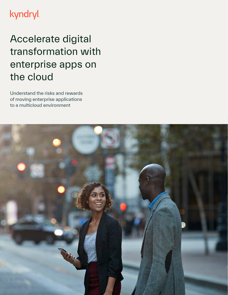## kyndryl

## Accelerate digital transformation with enterprise apps on the cloud

Understand the risks and rewards of moving enterprise applications to a multicloud environment

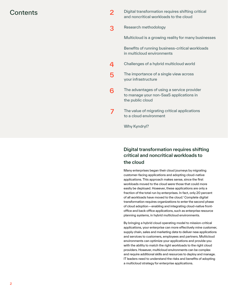- $\hbox{Contents}$   $\hbox{O}$ and noncritical workloads to the cloud
	- [3](#page-2-0) Research methodology

Multicloud is a growing reality for many businesses

Benefits of running business-critical workloads in multicloud environments

- [4](#page-3-0) [Challenges of a hybrid multicloud world](#page-3-0)
- [5](#page-4-0) [The importance of a single view across](#page-4-0) [your infrastructure](#page-4-0)
- $6$  [The advantages of using a service provider](#page-5-0) [to manage your non-SaaS applications in](#page-5-0) [the public cloud](#page-5-0)
- **[7](#page-6-0)** The value of migrating critical applications to a cloud environment

Why Kyndryl?

### Digital transformation requires shifting critical and noncritical workloads to the cloud

Many enterprises began their cloud journeys by migrating customer-facing applications and adopting cloud-native applications. This approach makes sense, since the first workloads moved to the cloud were those that could more easily be deployed. However, these applications are only a fraction of the total run by enterprises. In fact, only 20 percent of all workloads have moved to the cloud.1 Complete digital transformation requires organizations to enter the second phase of cloud adoption—enabling and integrating cloud-native frontoffice and back-office applications, such as enterprise resource planning systems, in hybrid multicloud environments.

By bringing a hybrid cloud operating model to mission-critical applications, your enterprise can more effectively mine customer, supply chain, sales and marketing data to deliver new applications and services to customers, employees and partners. Multicloud environments can optimize your applications and provide you with the ability to match the right workloads to the right cloud providers. However, multicloud environments can be complex and require additional skills and resources to deploy and manage. IT leaders need to understand the risks and benefits of adopting a multicloud strategy for enterprise applications.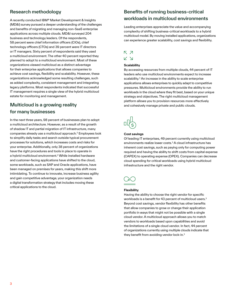## <span id="page-2-0"></span>Research methodology

A recently conducted IBM® Market Development & Insights (MD&I) survey pursued a deeper understanding of the challenges and benefits of migrating and managing non-SaaS enterprise applications across multiple clouds. MD&I surveyed 204 business and technology leaders. Of the respondents, 58 percent were chief information officers (CIOs), chief technology officers (CTOs) and 39 percent were IT directors or IT managers. Sixty percent of respondents said they used a multicloud environment. The other 40 percent reported they planned to adopt to a multicloud environment. Most of these organizations viewed multicloud as a distinct advantage for their enterprise applications that allows companies to achieve cost savings, flexibility and scalability. However, these organizations acknowledged some resulting challenges, such as added complexity, consistent management and integrating legacy platforms. Most respondents indicated that successful IT management requires a single view of the hybrid multicloud estate for monitoring and management.

## Multicloud is a growing reality for many businesses

In the next three years, 98 percent of businesses plan to adopt a multicloud architecture. However, as a result of the growth of shadow IT and partial migration of IT infrastructure, many companies already use a multicloud approach.2 Employees look to simplify daily tasks and search outside typical procurement processes for solutions, which increases costs and risks for your enterprise. Additionally, only 38 percent of organizations have the right procedures and tools in place to operate in a hybrid multicloud environment.2 While installed hardware and customer-facing applications have shifted to the cloud, some workloads, such as SAP and Oracle applications, have been managed on premises for years, making this shift more intimidating. To continue to innovate, increase business agility and gain competitive advantage, your organization needs a digital transformation strategy that includes moving these critical applications to the cloud.

## Benefits of running business-critical workloads in multicloud environments

Leading enterprises appreciate the value and accompanying complexity of shifting business-critical workloads to a hybrid multicloud model. By moving installed applications, organizations can experience greater scalability, cost savings and flexibility.

### K 7

K 7

### **Scalability**

By accessing resources from multiple clouds, 44 percent of IT leaders who use multicloud environments expect to increase scalability.<sup>3</sup> An increase in the ability to scale enterprise applications allows enterprises to quickly adapt to competitive pressures. Multicloud environments provide the ability to run workloads in the cloud where they fit best, based on your unique strategy and objectives. The right multicloud management platform allows you to provision resources more effectively and cohesively manage private and public clouds.



#### **Cost savings**

Of leading IT enterprises, 49 percent currently using multicloud environments realize lower costs.3 A cloud infrastructure has inherent cost savings, such as paying only for computing power required and having the ability to shift costs from capital expense (CAPEX) to operating expense (OPEX). Companies can decrease cloud spending for critical workloads using hybrid multicloud infrastructure and the right vendor.



#### **Flexibility**

Having the ability to choose the right vendor for specific workloads is a benefit for 43 percent of multicloud users.<sup>3</sup> Beyond cost savings, vendor flexibility has other benefits that allow companies to grow or change their application portfolio in ways that might not be possible with a single cloud vendor. A multicloud approach allows you to match vendors to workloads based upon capabilities and avoid the limitations of a single cloud vendor. In fact, 44 percent of organizations currently using multiple clouds indicate that they benefit from avoiding vendor lock-in.3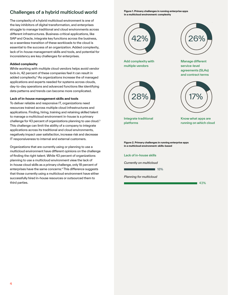## <span id="page-3-0"></span>Challenges of a hybrid multicloud world

The complexity of a hybrid multicloud environment is one of the key inhibitors of digital transformation, and enterprises struggle to manage traditional and cloud environments across different infrastructures. Business-critical applications, like SAP and Oracle, integrate key functions across the business, so a seamless transition of these workloads to the cloud is essential to the success of an organization. Added complexity, lack of in-house management skills and tools, and potential for inconsistency are key challenges for enterprises.

#### **Added complexity**

While working with multiple cloud vendors helps avoid vendor lock-in, 42 percent of these companies feel it can result in added complexity.<sup>4</sup> As organizations increase the of managed applications and experts needed for systems across clouds, day-to-day operations and advanced functions like identifying data patterns and trends can become more complicated.

#### **Lack of in-house management skills and tools**

To deliver reliable and responsive IT, organizations need resources trained across multiple cloud infrastructures and applications. Finding, hiring, training and retaining skilled talent to manage a multicloud environment in-house is a primary challenge for 43 percent of organizations planning to use cloud.3 This challenge can limit the ability of a company to integrate applications across its traditional and cloud environments, negatively impact user satisfaction, increase risk and decrease IT responsiveness to internal and external customers.

Organizations that are currently using or planning to use a multicloud environment have different opinions on the challenge of finding the right talent. While 43 percent of organizations planning to use a multicloud environment view the lack of in-house cloud skills as a primary challenge, only 18 percent of enterprises have the same concerns.<sup>4</sup> This difference suggests that those currently using a multicloud environment have either successfully hired in-house resources or outsourced them to third parties.

**Respondent Role Figure 1. Primary challenges in running enterprise apps in a multicloud environment: complexity**



multiple vendors

Add complexity with



service-level Manage different agreements (SLAs) and contract terms



Integrate traditional platforms

17%

Know what apps are running on which cloud

**Figure 2. Primary challenges in running enterprise apps in a multicloud environment: skills-based**

Lack of in-house skills

*Currently on multicloud*

■ 18%

*Planning for multicloud*

43%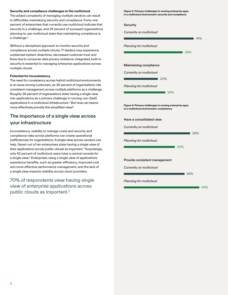#### <span id="page-4-0"></span>**Security and compliance challenges in the multicloud**

The added complexity of managing multiple vendors can result in difficulties maintaining security and compliance. Forty-one percent of enterprises that currently use multicloud indicate that security is a challenge, and 24 percent of surveyed organizations planning to use multicloud state that maintaining compliance is a challenge.<sup>3</sup>

Without a disciplined approach to monitor security and compliance across multiple clouds, IT leaders may experience unplanned system downtime, decreased customer trust and fines due to consumer data privacy violations. Integrated, built-in security is essential to managing enterprise applications across multiple clouds.

#### **Potential for inconsistency**

The need for consistency across hybrid multicloud environments is an issue among customers, as 36 percent of organizations cite consistent management across multiple platforms as a challenge. Roughly 39 percent of organizations state having a single view into applications as a primary challenge in running non-SaaS applications in a multicloud infrastructure.3 But how can teams more effectively provide this simplified view?

## The importance of a single view across your infrastructure

Inconsistency, inability to manage costs and security and compliance risks across platforms can create operational inefficiencies for organizations. A single view across vendors can help. Seven out of ten enterprises state having a single view of their applications across public clouds as important.<sup>3</sup> Surprisingly, only 42 percent of multicloud users have a central console for a single view.4 Enterprises using a single view of applications experience benefits, such as greater efficiency, improved cost and more effective performance management, and the lack of a single view impacts visibility across cloud providers.

70% of respondents view having single view of enterprise applications across public clouds as important.3

**Figure 3. Primary challenges in running enterprise apps in a multicloud environment: security and compliance**

#### **Security**

*Currently on multicloud*

|                                                                                                     | 41% |
|-----------------------------------------------------------------------------------------------------|-----|
| Planning for multicloud                                                                             |     |
| 34%                                                                                                 |     |
|                                                                                                     |     |
| <b>Maintaining compliance</b>                                                                       |     |
| Currently on multicloud                                                                             |     |
| 20%                                                                                                 |     |
| Planning for multicloud                                                                             |     |
| 24%                                                                                                 |     |
|                                                                                                     |     |
| Figure 4. Primary challenges in running enterprise apps<br>in a multicloud environment: consistency |     |
|                                                                                                     |     |
| Have a consolidated view                                                                            |     |
| Currently on multicloud                                                                             |     |
| 39%                                                                                                 |     |
| Planning for multicloud                                                                             |     |
| 30%                                                                                                 |     |
|                                                                                                     |     |
| Provide consistent management                                                                       |     |
| Currently on multicloud                                                                             |     |
| 36%                                                                                                 |     |
| Planning for multicloud                                                                             |     |
|                                                                                                     | 44% |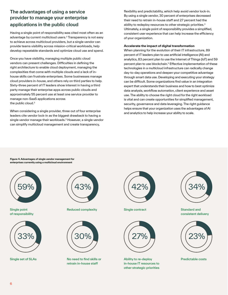## <span id="page-5-0"></span>The advantages of using a service provider to manage your enterprise applications in the public cloud

Having a single point of responsibility was cited most often as an advantage by current multicloud users.<sup>3</sup> Transparency is not easy to achieve across multicloud providers, but a single vendor can provide teams visibility across mission-critical workloads, help develop repeatable standards and optimize cloud use and spend.

Once you have visibility, managing multiple public cloud vendors can present challenges. Difficulties in defining the right architecture to enable cloud deployment, managing the complexities that come with multiple clouds and a lack of inhouse skills can frustrate enterprises. Some businesses manage cloud providers in-house, and others rely on third parties to help. Sixty-three percent of IT leaders show interest in having a third party manage their enterprise apps across public clouds and approximately 55 percent use at least one service provider to manage non-SaaS applications across the public cloud.3

When considering a single provider, three out of four enterprise leaders cite vendor lock-in as the biggest drawback to having a single vendor manage their workloads.<sup>3</sup> However, a single vendor can simplify multicloud management and create transparency,

flexibility and predictability, which help avoid vendor lock-in. By using a single vendor, 30 percent of enterprises decreased their need to retrain in-house staff and 27 percent had the ability to redeploy resources to other strategic priorities.<sup>3</sup> Ultimately, a single point of responsibility provides a simplified, consistent user experience that can help increase the efficiency of your organization.

#### **Accelerate the impact of digital transformation**

When planning for the evolution of their IT infrastructure, 89 percent of IT leaders plan to use artificial intelligence (AI) and analytics, 83 percent plan to use the Internet of Things (IoT) and 59 percent plan to use blockchain.3 Effective implementation of these technologies in a multicloud infrastructure can radically change day-to-day operations and deepen your competitive advantage through smart data use. Developing and executing your strategy can be difficult. Some organizations find value in an integration expert that understands their business and how to best optimize data analysis, workflow automation, client experience and asset use. The ability to choose the right cloud for the right workload is vital and can create opportunities for simplified management, security, governance and data leveraging. The right guidance helps ensure that your organization uses the advantages of AI and analytics to help increase your ability to scale.

**Respondent Role Figure 4. Advantages of single vendor management for enterprises currently using a multicloud environment**



Single point of responsibility



Single set of SLAs



**Reduced complexity** 



No need to find skills or retrain in-house staff



**Respondent Role** Single contract



Ability to re-deploy in-house IT resources to other strategic priorities



Standard and consistent delivery



Predictable costs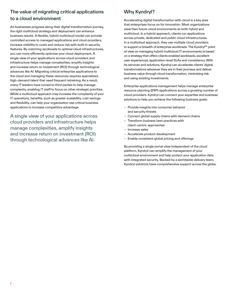## <span id="page-6-0"></span>The value of migrating critical applications to a cloud environment

As businesses progress along their digital transformation journey, the right multicloud strategy and deployment can enhance business results. A flexible, hybrid multicloud model can provide controlled access to managed applications and cloud providers, increase visibility to costs and reduce risk with built-in security features. By matching workloads to optimal cloud infrastructures, you can more efficiently optimize your cloud deployment. A single view of your applications across cloud providers and infrastructure helps manage complexities, amplify insights and increase return on investment (ROI) through technological advances like AI. Migrating critical enterprise applications to the cloud and managing these resources requires specialized, high-demand talent that need frequent retraining. As a result, many IT leaders have turned to third parties to help manage complexity, enabling IT staff to focus on other strategic priorities. While a multicloud approach may increase the complexity of your IT operations, benefits, such as greater scalability, cost savings and flexibility, can help your organization use critical business applications to increase competitive advantage.

A single view of your applications across cloud providers and infrastructure helps manage complexities, amplify insights and increase return on investment (ROI) through technological advances like AI.

## Why Kyndryl?

Accelerating digital transformation with cloud is a key area that enterprises focus on for innovation. Most organizations view their future cloud environments as both hybrid and multicloud. In a hybrid approach, clients run applications across private, dedicated and public cloud infrastructures. In a multicloud approach, they use multiple cloud providers to support a breadth of enterprise workloads. The Kyndryl™ point of view on managing hybrid multicloud IT environments is based on a strategy that offers clients enabled workloads, excellent user experiences, application-level SLAs and consistency. With its services and solutions, Kyndryl can accelerate clients' digital transformations wherever they are in their journeys and deliver business value through cloud transformation, minimizing risk and using existing investments.

Enterprise applications management helps manage enterprise resource planning (ERP) applications across a growing number of cloud providers. Kyndryl can connect your expertise and business solutions to help you achieve the following business goals:

- Provide insights into consumer behavior and security threats
- Connect global supply chains with demand chains
- Transform business best practices with
- client-centric approaches – Increase sales
- Accelerate product development
- Enable consistent global pricing and offerings

By providing a single portal view independent of the cloud platform, Kyndryl can simplify the management of your multicloud environment and help protect your application data with integrated security. Backed by a worldwide delivery team, Kyndryl solutions have comprehensive support across the globe.